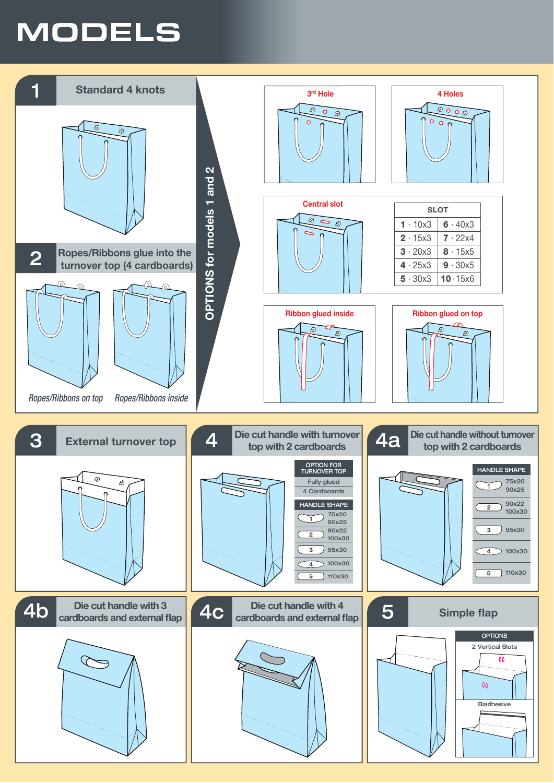## **MODELS**